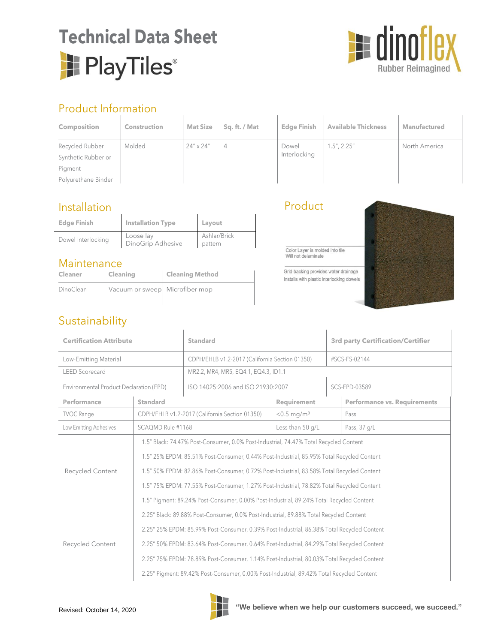# **Technical Data Sheet** PlayTiles®



## Product Information

| <b>Product Information</b> |                     |                    |               |                    |                            |                     |
|----------------------------|---------------------|--------------------|---------------|--------------------|----------------------------|---------------------|
| <b>Composition</b>         | <b>Construction</b> | <b>Mat Size</b>    | Sq. ft. / Mat | <b>Edge Finish</b> | <b>Available Thickness</b> | <b>Manufactured</b> |
| Recycled Rubber            | Molded              | $24'' \times 24''$ | 4             | Dowel              | $1.5$ ", $2.25$ "          | North America       |
| Synthetic Rubber or        |                     |                    |               | Interlocking       |                            |                     |
| Pigment                    |                     |                    |               |                    |                            |                     |
| Polyurethane Binder        |                     |                    |               |                    |                            |                     |

#### Installation

| <b>Edge Finish</b> | Installation Type              | Layout                  |
|--------------------|--------------------------------|-------------------------|
| Dowel Interlocking | Loose lay<br>DinoGrip Adhesive | Ashlar/Brick<br>pattern |

#### Maintenance

| <b>Cleaner</b> | Cleaning                       | <b>Cleaning Method</b> |
|----------------|--------------------------------|------------------------|
| DinoClean      | Vacuum or sweep Microfiber mop |                        |

### Product

Color Layer is molded into tile<br>Will not delaminate

Grid-backing provides water drainage Installs with plastic interlocking dowels



# Sustainability

| <b>Certification Attribute</b>          |                                                                                            | Standard                                       |                           | <b>3rd party Certification/Certifier</b> |                                     |  |
|-----------------------------------------|--------------------------------------------------------------------------------------------|------------------------------------------------|---------------------------|------------------------------------------|-------------------------------------|--|
| Low-Emitting Material                   |                                                                                            | CDPH/EHLB v1.2-2017 (California Section 01350) |                           | #SCS-FS-02144                            |                                     |  |
| <b>LEED Scorecard</b>                   |                                                                                            | MR2.2, MR4, MR5, EQ4.1, EQ4.3, ID1.1           |                           |                                          |                                     |  |
| Environmental Product Declaration (EPD) |                                                                                            | ISO 14025:2006 and ISO 21930:2007              |                           | SCS-EPD-03589                            |                                     |  |
| Performance                             | <b>Standard</b>                                                                            |                                                | Requirement               |                                          | <b>Performance vs. Requirements</b> |  |
| <b>TVOC Range</b>                       |                                                                                            | CDPH/EHLB v1.2-2017 (California Section 01350) | $< 0.5$ mg/m <sup>3</sup> |                                          | Pass                                |  |
| Low Emitting Adhesives                  | SCAQMD Rule #1168                                                                          |                                                | Less than 50 g/L          |                                          | Pass, 37 g/L                        |  |
|                                         | 1.5" Black: 74.47% Post-Consumer, 0.0% Post-Industrial, 74.47% Total Recycled Content      |                                                |                           |                                          |                                     |  |
|                                         | 1.5" 25% EPDM: 85.51% Post-Consumer, 0.44% Post-Industrial, 85.95% Total Recycled Content  |                                                |                           |                                          |                                     |  |
| <b>Recycled Content</b>                 | 1.5" 50% EPDM: 82.86% Post-Consumer, 0.72% Post-Industrial, 83.58% Total Recycled Content  |                                                |                           |                                          |                                     |  |
|                                         | 1.5" 75% EPDM: 77.55% Post-Consumer, 1.27% Post-Industrial, 78.82% Total Recycled Content  |                                                |                           |                                          |                                     |  |
|                                         | 1.5" Pigment: 89.24% Post-Consumer, 0.00% Post-Industrial, 89.24% Total Recycled Content   |                                                |                           |                                          |                                     |  |
|                                         | 2.25" Black: 89.88% Post-Consumer, 0.0% Post-Industrial, 89.88% Total Recycled Content     |                                                |                           |                                          |                                     |  |
|                                         | 2.25" 25% EPDM: 85.99% Post-Consumer, 0.39% Post-Industrial, 86.38% Total Recycled Content |                                                |                           |                                          |                                     |  |
| <b>Recycled Content</b>                 | 2.25" 50% EPDM: 83.64% Post-Consumer, 0.64% Post-Industrial, 84.29% Total Recycled Content |                                                |                           |                                          |                                     |  |
|                                         | 2.25" 75% EPDM: 78.89% Post-Consumer, 1.14% Post-Industrial, 80.03% Total Recycled Content |                                                |                           |                                          |                                     |  |
|                                         | 2.25" Pigment: 89.42% Post-Consumer, 0.00% Post-Industrial, 89.42% Total Recycled Content  |                                                |                           |                                          |                                     |  |